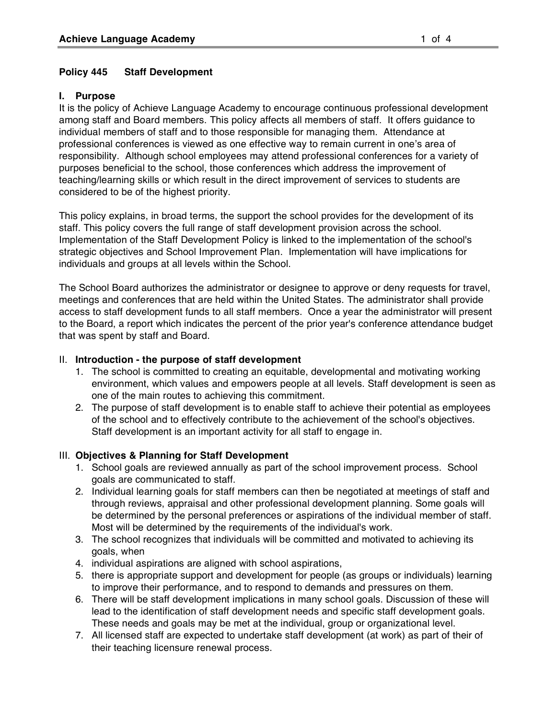### **Policy 445 Staff Development**

### **I. Purpose**

It is the policy of Achieve Language Academy to encourage continuous professional development among staff and Board members. This policy affects all members of staff. It offers guidance to individual members of staff and to those responsible for managing them. Attendance at professional conferences is viewed as one effective way to remain current in one's area of responsibility. Although school employees may attend professional conferences for a variety of purposes beneficial to the school, those conferences which address the improvement of teaching/learning skills or which result in the direct improvement of services to students are considered to be of the highest priority.

This policy explains, in broad terms, the support the school provides for the development of its staff. This policy covers the full range of staff development provision across the school. Implementation of the Staff Development Policy is linked to the implementation of the school's strategic objectives and School Improvement Plan. Implementation will have implications for individuals and groups at all levels within the School.

The School Board authorizes the administrator or designee to approve or deny requests for travel, meetings and conferences that are held within the United States. The administrator shall provide access to staff development funds to all staff members. Once a year the administrator will present to the Board, a report which indicates the percent of the prior year's conference attendance budget that was spent by staff and Board.

### II. **Introduction - the purpose of staff development**

- 1. The school is committed to creating an equitable, developmental and motivating working environment, which values and empowers people at all levels. Staff development is seen as one of the main routes to achieving this commitment.
- 2. The purpose of staff development is to enable staff to achieve their potential as employees of the school and to effectively contribute to the achievement of the school's objectives. Staff development is an important activity for all staff to engage in.

## III. **Objectives & Planning for Staff Development**

- 1. School goals are reviewed annually as part of the school improvement process. School goals are communicated to staff.
- 2. Individual learning goals for staff members can then be negotiated at meetings of staff and through reviews, appraisal and other professional development planning. Some goals will be determined by the personal preferences or aspirations of the individual member of staff. Most will be determined by the requirements of the individual's work.
- 3. The school recognizes that individuals will be committed and motivated to achieving its goals, when
- 4. individual aspirations are aligned with school aspirations,
- 5. there is appropriate support and development for people (as groups or individuals) learning to improve their performance, and to respond to demands and pressures on them.
- 6. There will be staff development implications in many school goals. Discussion of these will lead to the identification of staff development needs and specific staff development goals. These needs and goals may be met at the individual, group or organizational level.
- 7. All licensed staff are expected to undertake staff development (at work) as part of their of their teaching licensure renewal process.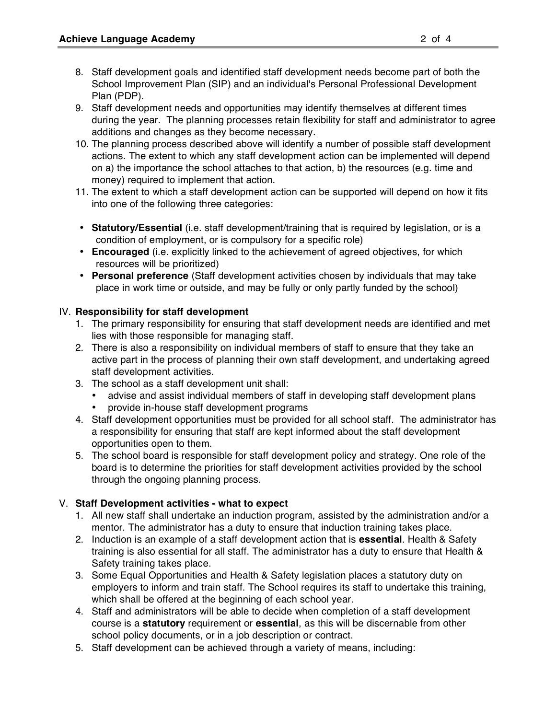- 8. Staff development goals and identified staff development needs become part of both the School Improvement Plan (SIP) and an individual's Personal Professional Development Plan (PDP).
- 9. Staff development needs and opportunities may identify themselves at different times during the year. The planning processes retain flexibility for staff and administrator to agree additions and changes as they become necessary.
- 10. The planning process described above will identify a number of possible staff development actions. The extent to which any staff development action can be implemented will depend on a) the importance the school attaches to that action, b) the resources (e.g. time and money) required to implement that action.
- 11. The extent to which a staff development action can be supported will depend on how it fits into one of the following three categories:
- **Statutory/Essential** (i.e. staff development/training that is required by legislation, or is a condition of employment, or is compulsory for a specific role)
- **Encouraged** (i.e. explicitly linked to the achievement of agreed objectives, for which resources will be prioritized)
- **Personal preference** (Staff development activities chosen by individuals that may take place in work time or outside, and may be fully or only partly funded by the school)

## IV. **Responsibility for staff development**

- 1. The primary responsibility for ensuring that staff development needs are identified and met lies with those responsible for managing staff.
- 2. There is also a responsibility on individual members of staff to ensure that they take an active part in the process of planning their own staff development, and undertaking agreed staff development activities.
- 3. The school as a staff development unit shall:
	- advise and assist individual members of staff in developing staff development plans
	- provide in-house staff development programs
- 4. Staff development opportunities must be provided for all school staff. The administrator has a responsibility for ensuring that staff are kept informed about the staff development opportunities open to them.
- 5. The school board is responsible for staff development policy and strategy. One role of the board is to determine the priorities for staff development activities provided by the school through the ongoing planning process.

# V. **Staff Development activities - what to expect**

- 1. All new staff shall undertake an induction program, assisted by the administration and/or a mentor. The administrator has a duty to ensure that induction training takes place.
- 2. Induction is an example of a staff development action that is **essential**. Health & Safety training is also essential for all staff. The administrator has a duty to ensure that Health & Safety training takes place.
- 3. Some Equal Opportunities and Health & Safety legislation places a statutory duty on employers to inform and train staff. The School requires its staff to undertake this training, which shall be offered at the beginning of each school year.
- 4. Staff and administrators will be able to decide when completion of a staff development course is a **statutory** requirement or **essential**, as this will be discernable from other school policy documents, or in a job description or contract.
- 5. Staff development can be achieved through a variety of means, including: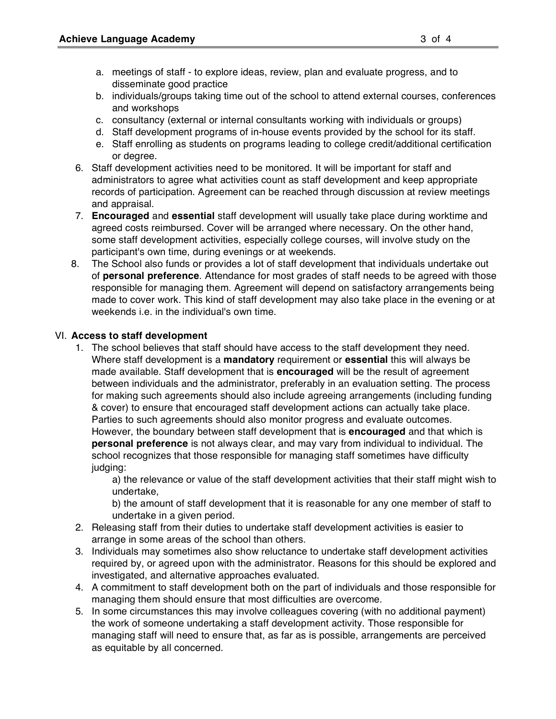- a. meetings of staff to explore ideas, review, plan and evaluate progress, and to disseminate good practice
- b. individuals/groups taking time out of the school to attend external courses, conferences and workshops
- c. consultancy (external or internal consultants working with individuals or groups)
- d. Staff development programs of in-house events provided by the school for its staff.
- e. Staff enrolling as students on programs leading to college credit/additional certification or degree.
- 6. Staff development activities need to be monitored. It will be important for staff and administrators to agree what activities count as staff development and keep appropriate records of participation. Agreement can be reached through discussion at review meetings and appraisal.
- 7. **Encouraged** and **essential** staff development will usually take place during worktime and agreed costs reimbursed. Cover will be arranged where necessary. On the other hand, some staff development activities, especially college courses, will involve study on the participant's own time, during evenings or at weekends.
- 8. The School also funds or provides a lot of staff development that individuals undertake out of **personal preference**. Attendance for most grades of staff needs to be agreed with those responsible for managing them. Agreement will depend on satisfactory arrangements being made to cover work. This kind of staff development may also take place in the evening or at weekends i.e. in the individual's own time.

### VI. **Access to staff development**

1. The school believes that staff should have access to the staff development they need. Where staff development is a **mandatory** requirement or **essential** this will always be made available. Staff development that is **encouraged** will be the result of agreement between individuals and the administrator, preferably in an evaluation setting. The process for making such agreements should also include agreeing arrangements (including funding & cover) to ensure that encouraged staff development actions can actually take place. Parties to such agreements should also monitor progress and evaluate outcomes. However, the boundary between staff development that is **encouraged** and that which is

**personal preference** is not always clear, and may vary from individual to individual. The school recognizes that those responsible for managing staff sometimes have difficulty judging:

a) the relevance or value of the staff development activities that their staff might wish to undertake,

b) the amount of staff development that it is reasonable for any one member of staff to undertake in a given period.

- 2. Releasing staff from their duties to undertake staff development activities is easier to arrange in some areas of the school than others.
- 3. Individuals may sometimes also show reluctance to undertake staff development activities required by, or agreed upon with the administrator. Reasons for this should be explored and investigated, and alternative approaches evaluated.
- 4. A commitment to staff development both on the part of individuals and those responsible for managing them should ensure that most difficulties are overcome.
- 5. In some circumstances this may involve colleagues covering (with no additional payment) the work of someone undertaking a staff development activity. Those responsible for managing staff will need to ensure that, as far as is possible, arrangements are perceived as equitable by all concerned.